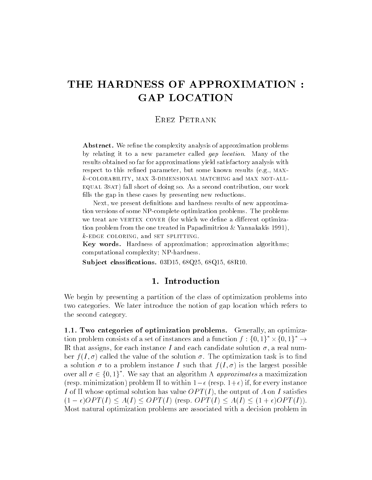# THE HARDNESS OF APPROXIMATION GAP LOCATION

# Erez Petrank

Abstract. We refine the complexity analysis of approximation problems by relating it to a new parameter called *gap location*. Many of the results obtained so far for approximations yield satisfactory analysis with respect to this renewed parameters, which some minority results (regal minor kcolorability max -dimensional matching and max notall equale short of doing short of doing so a second contribution of the contribution of  $\mathcal{S}$ fills the gap in these cases by presenting new reductions.

Next- we present denitions and hardness results of new approxima tion versions of some NP-complete optimization problems. The problems we treat are VERTEX COVER (for which we define a different optimization problem from the one treated in Papadimitriou  $\&$  Yannakakis 1991), kedge coloring- and set splitting

Key words Hardness of approximation approximation algorithms computational complexity of the complexity of the complexity of the complexity of the complexity of the complexity of the complexity of the complexity of the complexity of the complexity of the complexity of the complexity

substitution and the contraction of the contraction of the contraction of the contraction of the contract of the contract of the contract of the contract of the contract of the contract of the contract of the contract of t

### 1. Introduction

We begin by presenting a partition of the class of optimization problems into two categories We later introduce the notion of gap location which refers to the second category

 Two categories of optimization problems Generally an optimization problem consists of a set of instances and a function  $f: \{0,1\}^* \times \{0,1\}^* \rightarrow$ IR that assigns, for each instance I and each candidate solution  $\sigma$ , a real number  $f(I,\sigma)$  called the value of the solution  $\sigma$ . The optimization task is to find a solution  $\sigma$  to a problem instance I such that  $f(I, \sigma)$  is the largest possible over all  $\sigma \in \{0,1\}^*$ . We say that an algorithm A *approximates* a maximization  $r_{\rm F}$  in the minimization problem in to within  $r_{\rm F}$  (resp.  $r_{\rm F}$  in, for every mistance I of  $\Pi$  whose optimal solution has value  $OPT(I)$ , the output of A on I satisfies  $(1-\epsilon)OPT(I) \leq A(I) \leq OPT(I)$  (resp.  $OPT(I) \leq A(I) \leq (1+\epsilon)OPT(I)$ ). Most natural optimization problems are associated with a decision problem in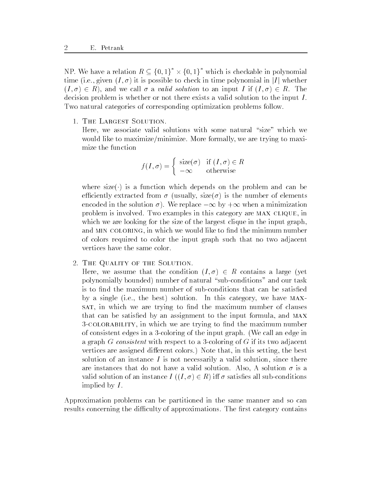NP. We have a relation  $R \subseteq \{0,1\}^* \times \{0,1\}^*$  which is checkable in polynomial time (i.e., given  $(I, \sigma)$ ) it is possible to check in time polynomial in |I| whether  $(I, \sigma) \in R$ , and we call  $\sigma$  a valid solution to an input I if  $(I, \sigma) \in R$ . The decision problem is whether or not there exists a valid solution to the input I Two natural categories of corresponding optimization problems follow

1. THE LARGEST SOLUTION.

Here, we associate valid solutions with some natural "size" which we would like to maximize/minimize. More formally, we are trying to maximize the function

$$
f(I, \sigma) = \begin{cases} \text{size}(\sigma) & \text{if } (I, \sigma) \in R \\ -\infty & \text{otherwise} \end{cases}
$$

where size is a function which depends on the problem and can be efficiently extracted from  $\sigma$  (usually, size( $\sigma$ ) is the number of elements encoded in the solution  $\sigma$  ). We replace  $-\infty$  by  $+\infty$  when a minimization problem is involved. Two examples in this category are MAX CLIQUE, in which we are looking for the size of the largest clique in the input graph, and MIN COLORING, in which we would like to find the minimum number of colors required to color the input graph such that no two adjacent vertices have the same color

2. THE QUALITY OF THE SOLUTION.

Here, we assume that the condition  $(I, \sigma) \in R$  contains a large (yet  $\mathbf{p}$  and our task  $\mathbf{p}$  and our task  $\mathbf{p}$  and our task  $\mathbf{p}$  and our task  $\mathbf{p}$ by a single (i.e., the best) solution. In this category, we have  $MAX$ sat, in which we are trying to find the maximum number of clauses that can be satisfied by an assignment to the input formula, and MAX 3-COLORABILITY, in which we are trying to find the maximum number of consistent edges in a -coloring in a -coloring input graph We call an edge in  $\alpha$ a graph G construction with respect to a coloring of G if its two adjacents. vertices are assigned different colors.) Note that, in this setting, the best solution of an instance  $I$  is not necessarily a valid solution, since there are instances that do not have a valid solution. Also, A solution  $\sigma$  is a valid solution of an instance  $I((I, \sigma) \in R)$  iff  $\sigma$  satisfies all sub-conditions implied by I.

Approximation problems can be partitioned in the same manner and so can results concerning the difficulty of approximations. The first category contains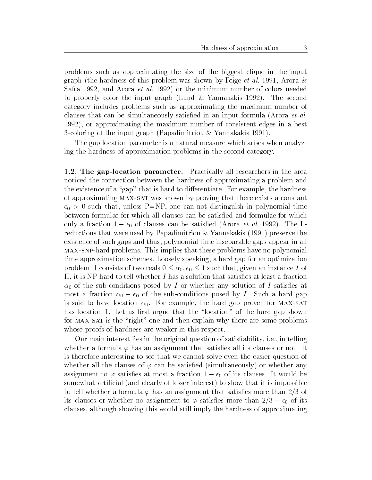problems such as approximating the size of the biggest clique in the input graph (the hardness of this problem was shown by Feige *et al.* 1991, Arora  $\&$ Safra 1992, and Arora *et al.* 1992) or the minimum number of colors needed to properly color the input graph (Lund  $\&$  Yannakakis 1992). The second category includes problems such as approximating the maximum number of clauses that can be simultaneously satisfied in an input formula (Arora  $et$  al. 1992), or approximating the maximum number of consistent edges in a best -coloring of the input graph Papadimitriou Yannakakis

The gap location parameter is a natural measure which arises when analyzing the hardness of approximation problems in the second category

- The gaplocation parameter Practically all researchers in the area noticed the connection between the hardness of approximating a problem and the existence of a "gap" that is hard to differentiate. For example, the hardness of approximating MAX-SAT was shown by proving that there exists a constant  $\mathbf{u}$  that unless PNP one can not distinguish in polynomial time can not distinguish in polynomial time  $\mathbf{u}$ between formulae for which all clauses can be satisfied and formulae for which only a fraction  $1 - \epsilon_0$  of clauses can be satisfied (Arora *et al. 1992)*. The Lreductions that were used by Papadimitriou  $\&$  Yannakakis (1991) preserve the existence of such gaps and thus polynomial time inseparable gaps appear in all maxsa problems the problems This implies that the these problems have no polynomials the problems of time approximation schemes. Loosely speaking, a hard gap for an optimization problem II consists of two reals  $0 \leq \alpha_0, \epsilon_0 \leq 1$  such that, given an instance I of it is the total to the solution that satisfies at least at least at least at least and satisfied at least a fr  $\mathbf u$  of the sub-ditions posed by I or whether any solution of I satisfactor any solution of I satisfactor  $\mathbf u$  $\max$  a fraction  $\alpha_0 - \epsilon_0$  or the sub-conditions posed by I. Such a hard gap is said to have location  $\alpha_0$ . For example, the hard gap proven for MAX-SAT has location 1. Let us first argue that the "location" of the hard gap shown for MAX-SAT is the "right" one and then explain why there are some problems whose proofs of hardness are weaker in this respect.

Our main interest lies in the original question of satisfiability, i.e., in telling whether a formula  $\varphi$  has an assignment that satisfies all its clauses or not. It is therefore interesting to see that we cannot solve even the easier question of whether all the clauses of  $\varphi$  can be satisfied (simultaneously) or whether any assignment to  $\varphi$  satisfies at most a fraction  $1 - \epsilon_0$  or its clauses. It would be somewhat artificial (and clearly of lesser interest) to show that it is impossible to tell whether a formula  $\varphi$  has an assignment that satisfies more than 2/3 of This clauses of whether no assignment to  $\varphi$  satisfies more than  $\varphi/\vartheta = \epsilon_0$  of its clauses although showing this would still imply the hardness of approximating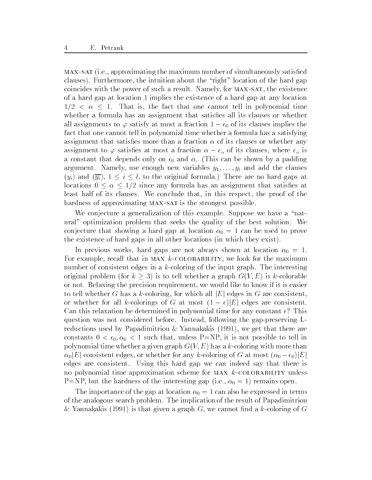MAX-SAT (i.e., approximating the maximum number of simultaneously satisfied clauses). Furthermore, the intuition about the "right" location of the hard gap coincides with the power of such a result. Namely, for MAX-SAT, the existence of a hard gap at location implies the existence of a hard gap at any location  $1/2 < \alpha \leq 1$ . That is, the fact that one cannot tell in polynomial time whether a formula has an assignment that satisfies all its clauses or whether all assignments to  $\varphi$  satisfy at most a fraction  $1 - \epsilon_0$  of its clauses implies the fact that one cannot tell in polynomial time whether a formula has a satisfying assignment that satisfies more than a fraction  $\alpha$  of its clauses or whether any assignment to  $\varphi$  satisfies at most a fraction  $\alpha - \epsilon_{\alpha}$  or its clauses, where  $\epsilon_{\alpha}$  is a constant that depends only on - () were started that it is can be shown by a partner. argument. Namely, use enough new variables  $y_1, \ldots, y_l$  and add the clauses  $(y_i)$  and  $(\overline{y_i})$ ,  $1 \leq i \leq l$ , to the original formula.) There are no hard gaps at locations  $0 \leq \alpha \leq 1/2$  since any formula has an assignment that satisfies at least half of its clauses. We conclude that, in this respect, the proof of the hardness of approximating MAX-SAT is the strongest possible.

We conjecture a generalization of this example. Suppose we have a "natural
 optimization problem that seeks the quality of the best solution We conjecture that showing a hard gap at location  $\alpha_0 = 1$  can be used to prove the existence of hard gaps in all other locations (in which they exist).

In previous works, hard gaps are not always shown at location  $\alpha_0 = 1$ . For example, recall that in MAX  $k$ -COLORABILITY, we look for the maximum number of consistent edges in a k-coloring of the input graph The interesting original problem (for  $k \geq 3$ ) is to tell whether a graph  $G(V, E)$  is k-colorable or not Relaxing the precision requirement we would like to know if it is easier to tell whether G has a k-coloring, for which all  $|E|$  edges in G are consistent, or whether for all k-colorings of G at most  $(1 - \epsilon)|E|$  edges are consistent. Can this relaxation be determined in polynomial time for any constant - This question was not considered before Instead following the gap-preserving Lreductions used by Papadimitriou & Yannakakis  $(1991)$ , we get that there are constants  $\mathbf u$  is not possible to tell intervals  $\mathbf u$  is not possible to tell intervals  $\mathbf u$  is not possible to tell intervals  $\mathbf u$  is not possible to tell intervals of the set of tell intervals  $\mathbf u$  is not poss polynomial time whether a given graph GUE has a kitcheng with more than the color  $\alpha_0|E|$  consistent edges, or whether for any k-coloring of G at most  $(\alpha_0 - \epsilon_0)|E|$ edges are consistent. Using this hard gap we can indeed say that there is no polynomial time approximation scheme for  $MAX\; k\text{-COLORABILITY unless}$ P=NP, but the hardness of the interesting gap (i.e.,  $\alpha_0 = 1$ ) remains open.

The importance of the gap at location  $\alpha_0 = 1$  can also be expressed in terms of the analogous search problem The implication of the result of Papadimitriou Yannakakis is that given a graph G we cannot nd a k-coloring of G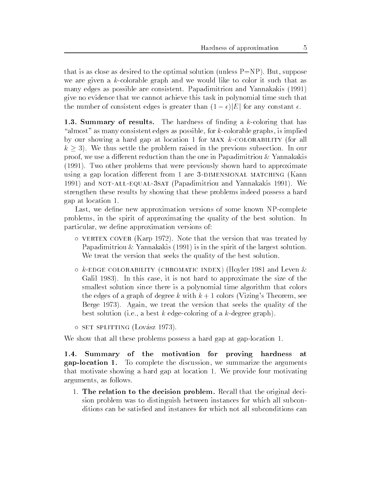that is as close as desired to the optimal solution (unless  $P=NP$ ). But, suppose we are given a k-research graph and we would like that a k-research and we many edges as possible are consistent. Papadimitriou and Yannakakis (1991) give no evidence that we cannot achieve this task in polynomial time such that the number of consistent edges is greater than  $(1 - \epsilon)|E|$  for any constant  $\epsilon$ .

**The**, Dummary of results, The hardness of midnig a  $\kappa$ -coloring that has almost as many consistent edges as possible to colorable graphs is implied to the color by our showing a hard gap at location 1 for MAX  $k$ -COLORABILITY (for all  $k \geq 3$ ). We thus settle the problem raised in the previous subsection. In our proof, we use a different reduction than the one in Papadimitriou  $\&$  Yannakakis  $(1991)$ . Two other problems that were previously shown hard to approximate using a gap location different from 1 are 3-DIMENSIONAL MATCHING (Kann 1991) and NOT-ALL-EQUAL-3SAT (Papadimitriou and Yannakakis 1991). We strengthen these results by showing that these problems indeed possess a hard gap at location

Last we dene new approximation versions of some known NP-complete problems in the spirit of approximating the quality of the best solution In particular, we define approximation versions of:

- $\circ$  vertex cover (Karp 1972). Note that the version that was treated by Papadimitriou  $\&$  Yannakakis (1991) is in the spirit of the largest solution. We treat the version that seeks the quality of the best solution.
- $\circ$   $\kappa$ -EDGE COLORABILITY (CHROMATIC INDEX) (HOVIET 1981 and Leven  $\propto$ Galil 1983). In this case, it is not hard to approximate the size of the smallest solution since there is a polynomial time algorithm that colors the edges of a graph of degree k with k with k with k with k with k with k with k with k  $\alpha$ Berge  $1973$ ). Again, we treat the version that seeks the quality of the best solution ie a best k edge-coloring of a k-degree graph
- o set splitting (Lovasz 1973). –

we show that we there problems possess a hard gap at gap-to-cation of

 $1.4.$  Summary of the motivation for proving hardness at gap-location 1. To complete the discussion, we summarize the arguments that motivate showing a hard gap at location 1. We provide four motivating arguments, as follows.

1. The relation to the decision problem. Recall that the original decision problem was to distinguish between instances for which all subconditions can be satisfied and instances for which not all subconditions can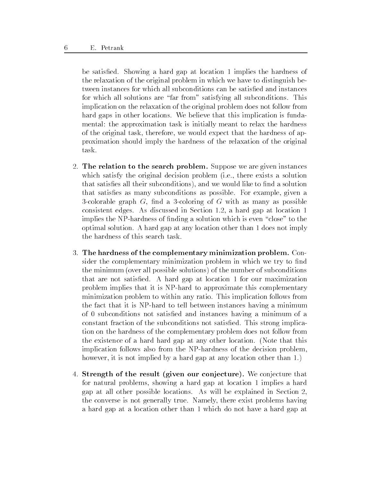be satisfied. Showing a hard gap at location 1 implies the hardness of the relaxation of the original problem in which we have to distinguish between instances for which all subconditions can be satisfied and instances for which all solutions are "far from" satisfying all subconditions. This implication on the relaxation of the original problem does not follow from hard gaps in other locations. We believe that this implication is fundamental: the approximation task is initially meant to relax the hardness of the original task, therefore, we would expect that the hardness of approximation should imply the hardness of the relaxation of the original task

- 2. The relation to the search problem. Suppose we are given instances which satisfy the original decision problem (i.e., there exists a solution that satisfies all their subconditions), and we would like to find a solution that satisfies as many subconditions as possible. For example, given a -colorable graph G nd a -coloring of G with as many as possible consistent edges. As discussed in Section  $1.2$ , a hard gap at location 1 implies the NP-bardness of non-to-the NP-bardness of non-to-the-to-the-to-the-to-the-to-the-to-the-to-the-to-theoptimal solution. A hard gap at any location other than 1 does not imply the hardness of this search task
- 3. The hardness of the complementary minimization problem. Consider the complementary minimization problem in which we try to find the minimum (over all possible solutions) of the number of subconditions that are not satisfied. A hard gap at location 1 for our maximization problem implies that it is NP-hard to approximate this complementary minimization problem to within any ratio This implication follows from the fact that it is not to the fact it is not to the minimum and minimum and minimum and minimum and of 0 subconditions not satisfied and instances having a minimum of a constant fraction of the subconditions not satisfied. This strong implication on the hardness of the complementary problem does not follow from the existence of a hard hard gap at any other location. (Note that this implication follows also from the NP-hardness of the decision problem however, it is not implied by a hard gap at any location other than 1.)
- 4. Strength of the result (given our conjecture). We conjecture that for natural problems, showing a hard gap at location 1 implies a hard gap at all other possible locations. As will be explained in Section  $2$ , the converse is not generally true Namely there exist problems having a hard gap at a location other than 1 which do not have a hard gap at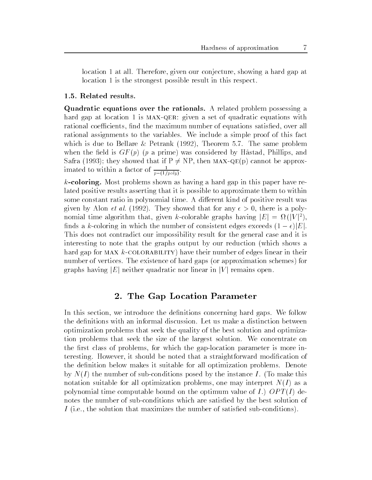location 1 at all. Therefore, given our conjecture, showing a hard gap at location 1 is the strongest possible result in this respect.

### 1.5. Related results.

Quadratic equations over the rationals A related problem possessing a hard gap at location 1 is MAX-QER: given a set of quadratic equations with rational coefficients, find the maximum number of equations satisfied, over all rational assignments to the variables. We include a simple proof of this fact which is due to Bellare & Petrank  $(1992)$ , Theorem 5.7. The same problem when the field is  $GF(p)$  (p a prime) was considered by Håstad, Phillips, and Safra (1993); they showed that if  $P \neq NP$ , then MAX-QE(p) cannot be approximated to within a factor of  $\frac{1}{p-(1/poly)}$ .

 $k$ -coloring. Most problems shown as having a hard gap in this paper have related positive results asserting that it is possible to approximate them to within some constant ratio in polynomial time. A different kind of positive result was given by Alon et al They showed that for any - any - all there is a polynomial time algorithm that, given k-colorable graphs having  $|E| = \Omega(|V|^2)$ , finds a k-coloring in which the number of consistent edges exceeds  $(1 - \epsilon)|E|$ . This does not contradict our impossibility result for the general case and it is interesting to note that the graphs output by our reduction (which shows a hard gap for MAX  $k$ -COLORABILITY) have their number of edges linear in their number of vertices. The existence of hard gaps (or approximation schemes) for graphs having  $|E|$  neither quadratic nor linear in  $|V|$  remains open.

### - The Gap Location Parameter  $\mathbb{P}^1$

In this section, we introduce the definitions concerning hard gaps. We follow the definitions with an informal discussion. Let us make a distinction between optimization problems that seek the quality of the best solution and optimization problems that seek the size of the largest solution. We concentrate on the rst class of problems for which the gap-location parameter is more interesting. However, it should be noted that a straightforward modification of the definition below makes it suitable for all optimization problems. Denote of the number of sub-conditions posted by the instance I is the instance I is the instance I in notation suitable for all optimization problems, one may interpret  $N(I)$  as a polynomial time computable bound on the optimum value of  $I$ .)  $OPT(I)$  denotes the number of sub-conditions which are satised by the best solution of In the solution that maximizes the solution that maximizes the number of satisfactor  $\mathbf{I}$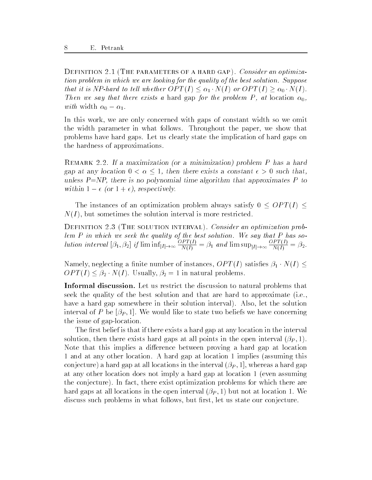Definition -The parameters of a hard gap Consider an optimiza tion problem in which we are looking for the quality of the best solution. Suppose that it is NP-hard to tell whether  $OPT(I) \leq \alpha_1 \cdot N(I)$  or  $OPT(I) \geq \alpha_0 \cdot N(I)$ . Then we say that the problem is a hard gap for the problem  $\mathbf{U}$  is a hard gap for the problem  $\mathbf{U}$  is a set of the problem in the problem in the problem in the problem in the problem in the problem in the problem with width  $\alpha_0 - \alpha_1$ .

In this work, we are only concerned with gaps of constant width so we omit the width parameter in what follows. Throughout the paper, we show that problems have hard gaps Let us clearly state the implication of hard gaps on the hardness of approximations

REMARK 2.2. If a maximization (or a minimization) problem  $P$  has a hard gap at any location  $0 < \alpha \leq 1$ , then there exists a constant  $\epsilon > 0$  such that,  $\mu_{\rm HIC3D}$  ,  $\mu_{\rm HIC1C}$  is no polynomial time algorithm that approximates  $\mu_{\rm HIC}$ within  $1 - \epsilon$  (or  $1 + \epsilon$ ), respectively.

The instances of an optimization problem always satisfy  $0 \leq OPT(I) \leq$  $N(I)$ , but sometimes the solution interval is more restricted.

— — solution — The solution interval Constant Constant and approximation problem lem  $P$  in which we seek the quality of the best solution. We say that  $P$  has solution in the set of the set of the set of the set of the set of the set of the set of the set of the set of t  $\cup$   $\bot$   $\bot$   $\bot$  $N(I)$   $I^{\perp}$   $I^{\perp}$   $I^{\perp}$   $N(I)$  $\cup$   $\bot$   $\bot$   $\bot$  $N(I)$   $\rightarrow$   $\rightarrow$ 

Namely, neglecting a finite number of instances,  $OPT(I)$  satisfies  $\beta_1 \cdot N(I) \leq$  $OPT(I) \leq \beta_2 \cdot N(I)$ . Usually,  $\beta_2 = 1$  in natural problems.

**Informal discussion.** Bet us restrict the discussion to natural problems that  $\blacksquare$ seek the quality of the best solution and that are hard to approximate  $(i.e.,$ have a hard gap somewhere in their solution interval). Also, let the solution interval of P be  $[\beta_P, 1]$ . We would like to state two beliefs we have concerning the issue of gap-distribution of gap-distribution of gap-distribution of gap-distribution of gap-distribution

The first belief is that if there exists a hard gap at any location in the interval solution, then there exists hard gaps at all points in the open interval  $(\beta_P, 1)$ . Note that this implies a difference between proving a hard gap at location 1 and at any other location. A hard gap at location 1 implies (assuming this conjecture) a hard gap at all locations in the interval  $(\beta_P, 1]$ , whereas a hard gap at any other location does not imply a hard gap at location  $1$  (even assuming the conjecture). In fact, there exist optimization problems for which there are hard gaps at all locations in the open interval  $(\beta_P, 1)$  but not at location 1. We discuss such problems in what follows, but first, let us state our conjecture.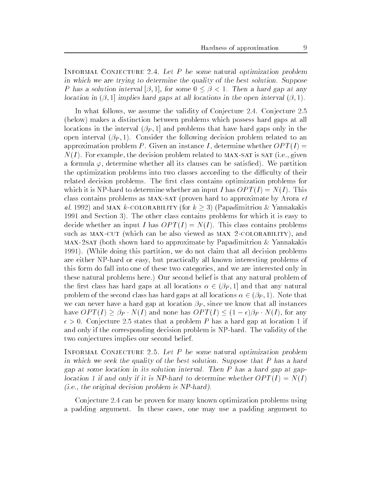INFORMAL CONJECTURE 2.4. Let  $P$  be some natural optimization problem in which we are trying to determine the quality of the best solution. Suppose P has a solution interval  $(\beta, 1]$ , for some  $0 \leq \beta < 1$ . Then a hard gap at any location in  $(\beta, 1]$  implies hard gaps at all locations in the open interval  $(\beta, 1)$ .

In what follows, we assume the validity of Conjecture 2.4. Conjecture  $2.5$ (below) makes a distinction between problems which possess hard gaps at all locations in the interval  $(\beta_P, 1]$  and problems that have hard gaps only in the open interval  $(\beta_P, 1)$ . Consider the following decision problem related to an approximation problem P. Given an instance I, determine whether  $OPT(I)$  $N(I)$ . For example, the decision problem related to MAX-SAT is SAT (i.e., given a formula  $\varphi$ , determine whether all its clauses can be satisfied. We partition the optimization problems into two classes according to the difficulty of their related decision problems. The first class contains optimization problems for which is the distribution of the state  $\alpha$  is the  $\alpha$  input  $\alpha$  in  $\alpha$  in  $\alpha$   $\alpha$   $\beta$   $\beta$   $\beta$   $\gamma$   $\beta$   $\gamma$   $\beta$ class contains problems as  $MAX-SAT$  (proven hard to approximate by Arora  $et$ al. 1992) and MAX k-COLORABILITY (for  $k \geq 3$ ) (Papadimitriou & Yannakakis 1991 and Section 3). The other class contains problems for which it is easy to decide whether an input I has  $OPT(I) = N(I)$ . This class contains problems such as MAX-CUT (which can be also viewed as MAX 2-COLORABILITY), and  $MAX-2SAT$  (both shown hard to approximate by Papadimitriou & Yannakakis 1991). (While doing this partition, we do not claim that all decision problems are either NP-hard or easy but practically all known interesting problems of this form do fall into one of these two categories and we are interested only in these natural problems here.) Our second belief is that any natural problem of the first class has hard gaps at all locations  $\alpha \in (\beta_P, 1]$  and that any natural problem of the second class has hard gaps at all locations  $\alpha \in (\beta_P, 1)$ . Note that we can never have a hard gap at location  $\beta_P$ , since we know that all instances have  $OPT(I) \geq \beta_P \cdot N(I)$  and none has  $OPT(I) \leq (1-\epsilon)\beta_P \cdot N(I)$ , for any - Conjecture states that a problem P has a hard gap at location if and only if the corresponding decision problem is the main state where  $\alpha$ two conjectures implies our second belief

INFORMAL CONJECTURE 2.5. Let  $P$  be some natural optimization problem in which we seek the quality of the best solution Suppose that P has a hard gap at some location in its solution interval. Then I has a hard gap at gaplocation T if and only if it is NP-hard to determine whether  $\mathcal{O}(T(T)I) = N(T)$ ii.e., the original decision problem is NT-hard).

Conjecture 2.4 can be proven for many known optimization problems using a padding argument. In these cases, one may use a padding argument to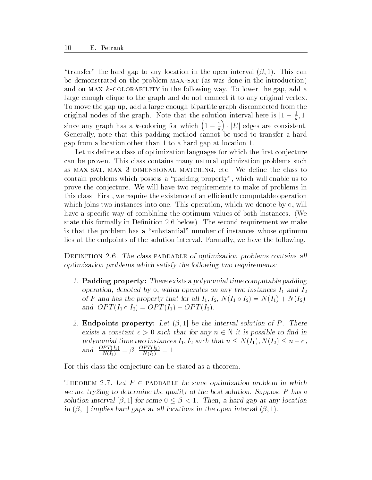"transfer" the hard gap to any location in the open interval  $(\beta, 1)$ . This can be demonstrated on the problem MAX-SAT (as was done in the introduction) and on MAX  $k$ -COLORABILITY in the following way. To lower the gap, add a large enough clique to the graph and do not connect it to any original vertex To move the gap up, add a large enough bipartite graph disconnected from the original nodes of the graph. Note that the solution interval here is  $|1 - \frac{1}{k}, 1|$ since any graph has a k-coloring for which are a k-coloring for which a k-coloring for which a k-coloring for w  $\left(1-\frac{1}{k}\right) \cdot |E|$  edges are consistent. Generally note that this padding method cannot be used to transfer a hard gap from a location other than 1 to a hard gap at location 1.

Let us define a class of optimization languages for which the first conjecture can be proven. This class contains many natural optimization problems such as MAX-SAT, MAX 3-DIMENSIONAL MATCHING, etc. We define the class to contain problems which possess a "padding property", which will enable us to prove the conjecture. We will have two requirements to make of problems in this class. First, we require the existence of an efficiently computable operation which joins two instances into one. This operation, which we denote by  $\circ$ , will have a specific way of combining the optimum values of both instances. (We state this formally in Definition 2.6 below). The second requirement we make is that the problem has a "substantial" number of instances whose optimum lies at the endpoints of the solution interval. Formally, we have the following.

DEFINITION 2.6. The class PADDABLE of optimization problems contains all optimization problems which satisfy the following two requirements

- $\mu$ . Tadding property. There exists a polynomial time computable padding operation, denoted by  $\circ$ , which operates on any two instances  $I_1$  and  $I_2$ of P and has the property that for all  $I_1, I_2, N(I_1 \circ I_2) = N(I_1) + N(I_2)$ and  $OPT(I_1 \circ I_2) = OPT(I_1) + OPT(I_2)$ .
- $\omega$ . Endpoints property. Let  $(\nu, 1)$  be the interval solution of F. There exists a constant  $c > 0$  such that for any  $n \in \mathbb{N}$  it is possible to find in polynomial time two instances  $I_1, I_2$  such that  $n \leq N(I_1), N(I_2) \leq n + c$ , and  $\frac{1}{2}$   $\frac{1}{2}$  =  $\frac{T_1(T_1)}{N(I_1)} = \beta, \frac{T_1(T_2)}{N(I_2)} =$  $N(I_2)$   $\cdots$

For this class the conjecture can be stated as a theorem

THEOREM 2.7. Let  $P \in \text{PADDABLE}$  be some optimization problem in which we are trying to determine the quality of the best solution. Duppose P has a  $\,$ solution interval  $(\beta, 1)$  for some  $0 \leq \beta < 1$ . Then, a hard gap at any location in  $(\nu, 1)$  implies hard gaps at all locations in the open interval  $(\nu, 1)$ .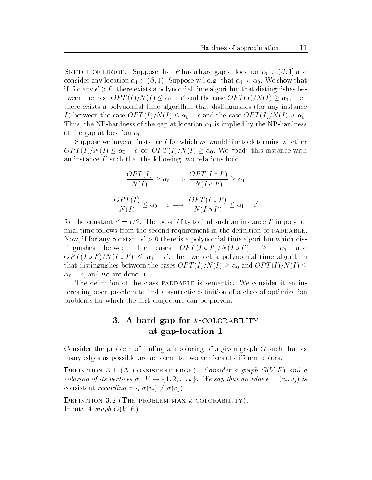SKETCH OF PROOF. Suppose that P has a hard gap at location  $\alpha_0 \in (\beta, 1]$  and consider any location  $\alpha_1 \in (\beta, 1)$ . Suppose w.l.o.g. that  $\alpha_1 < \alpha_0$ . We show that if, for any  $\epsilon >> 0$ , there exists a polynomial time algorithm that distinguishes between the case  $OPT(I)/N(I) \leq \alpha_1 - \epsilon'$  and the case  $OPT(I)/N(I) \geq \alpha_1$ , then there exists a polynomial time algorithm that distinguishes (for any instance I) between the case  $OPT(I)/N(I) \leq \alpha_0 - \epsilon$  and the case  $OPT(I)/N(I) \geq \alpha_0$ . *I*) between the case  $OPT(I)/N(I) \leq \alpha_0 - \epsilon$  and the case  $OPT(I)/N(I) \geq \alpha_0$ .<br>Thus, the NP-hardness of the gap at location  $\alpha_1$  is implied by the NP-hardness of the gap at location  $\alpha_0$ .

Suppose we have an instance  $I$  for which we would like to determine whether  $OPT(I)/N(I) \leq \alpha_0 - \epsilon$  or  $OPT(I)/N(I) \geq \alpha_0$ . We "pad" this instance with an instance I such that the following two relations hold:

$$
\frac{OPT(I)}{N(I)} \ge \alpha_0 \implies \frac{OPT(I \circ I')}{N(I \circ I')} \ge \alpha_1
$$
  

$$
\frac{OPT(I)}{N(I)} \le \alpha_0 - \epsilon \implies \frac{OPT(I \circ I')}{N(I \circ I')} \le \alpha_1 - \epsilon'
$$

for the constant  $\epsilon = \epsilon/2$ . The possibility to find such an instance I in polynomial time follows from the second requirement in the definition of PADDABLE. Now, if for any constant  $\epsilon > 0$  there is a polynomial time algorithm which distinguishes between the cases  $OPT (I \circ I')/N (I \circ I')$  $\geq \alpha_1$  and  $OPT(I \circ I')/N(I \circ I') \leq \alpha_1 - \epsilon'$ , then we get a polynomial time algorithm that distinguishes between the cases  $OPT(I)/N(I) \ge \alpha_0$  and  $OPT(I)/N(I) \le$  $\alpha_0 =$  c, and we are done.  $\Box$ 

The definition of the class PADDABLE is semantic. We consider it an interesting open problem to find a syntactic definition of a class of optimization problems for which the first conjecture can be proven.

# 3. A hard gap for  $k$ -COLORABILITY at gap-location 1

coloring the problem of the given  $\alpha$  and  $\alpha$  are  $\alpha$  as  $\alpha$  as  $\alpha$  as  $\alpha$  as  $\alpha$  as  $\alpha$ many edges as possible are adjacent to two vertices of different colors.

Definition -A consistent edge Consider a graph GVE and a coloring of its vertices  $\sigma: V \to \{1, 2, ..., k\}$ . We say that an edge  $e = (v_i, v_j)$  is consistent *regarding*  $\sigma$  if  $\sigma(v_i) \neq \sigma(v_j)$ .

Definition -The problem max kcolorability Input: A graph  $G(V, E)$ .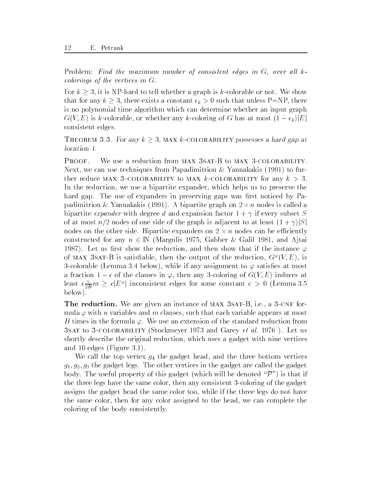Problem Find the maximum number of consistent edges in G- over all k colorings of the vertices in G

For  $k \geq 3$ , it is NP-hard to tell whether a graph is k-colorable or not. We show that for any  $k \geq 3$ , there exists a constant  $\epsilon_k > 0$  such that unless P=NP, there is no polynomial time algorithm which can determine whether an input graph  $G(V, E)$  is k-colorable, or whether any k-coloring of G has at most  $(1 - \epsilon_k)|E|$ consistent edges

THEOREM 3.3. For any  $k \geq 3$ , MAX k-COLORABILITY possesses a hard gap at location 1.

PROOF. Next, we can use techniques from Papadimitriou & Yannakakis  $(1991)$  to further reduce MAX 3-COLORABILITY to MAX k-COLORABILITY for any  $k > 3$ . In the reduction, we use a bipartite expander, which helps us to preserve the hard gap. The use of expanders in preserving gaps was first noticed by Papadimitriou & Yannakakis (1991). A bipartite graph on  $2 \times n$  nodes is called a bipartite expander with degree d and explored the subset  $\mathbf{r}$  , and expander  $\mathbf{r}$ of at most  $n/2$  nodes of one side of the graph is adjacent to at least  $(1 + \gamma)|S|$ nodes on the other side. Bipartite expanders on  $2 \times n$  nodes can be efficiently constructed for any  $n \in \mathbb{N}$  (Margulis 1975, Gabber & Galil 1981, and A<sub>l</sub>tai 1987). Let us first show the reduction, and then show that if the instance  $\varphi$ of MAX  $\delta$ SAT-B is satisfiable, then the output of the reduction,  $G^+(V, E)$ , is -colorable Lemma below while if any assignment to satises at most a fraction  $1 - \epsilon$  of the clauses in  $\varphi$ , then any  $\sigma$ -coloring of  $G(V, E)$  muttees at least  $\epsilon \frac{\gamma}{2B} m \geq c |E^{\varphi}|$  inconsistent edges for some constant  $c > 0$  (Lemma 3.5 below

**THE LEGUETION.** We are given an instance of MAA OSAT-D, i.e., a O-ONE formula  $\varphi$  with *n* variables and *m* clauses, such that each variable appears at most B times in the formula  $\varphi$ . We use an extension of the standard reduction from **3SAT to 3-COLORABILITY (Stockmeyer 1973 and Garey et al. 1976).** Let us shortly describe the original reduction which uses a gadget with nine vertices and 10 edges (Figure 3.1).

We call the top vertex  $g_4$  the gadget head, and the three bottom vertices  $g_1, g_2, g_3$  the gadget legs. The other vertices in the gadget are called the gadget body. The useful property of this gadget (which will be denoted " $\mathcal{P}$ ") is that if the three legs have the same color then any consistent -coloring of the gadget assigns the gadget head the same color too, while if the three legs do not have the same color, then for any color assigned to the head, we can complete the coloring of the body consistently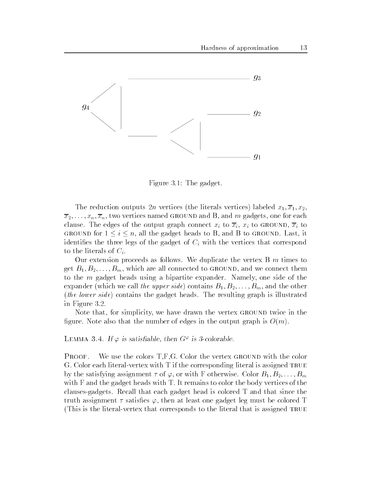

Figure 3.1: The gadget.

The reduction outputs 2n vertices (the literals vertices) labeled  $x_1, \overline{x}_1, x_2,$  $\overline{x}_2,\ldots,\overline{x}_n,\overline{x}_n$ , two vertices named GROUND and B, and m gadgets, one for each clause. The edges of the output graph connect  $x_i$  to  $\overline{x}_i$ ,  $x_i$  to GROUND,  $\overline{x}_i$  to GROUND for  $1 \leq i \leq n$ , all the gadget heads to B, and B to GROUND. Last, it identifies the three legs of the gadget of  $C_i$  with the vertices that correspond to the literals of  $C_i$ .

Our extension proceeds as follows. We duplicate the vertex  $B<sub>m</sub>$  times to get  $B_1, B_2, \ldots, B_m$ , which are all connected to GROUND, and we connect them to the  $m$  gadget heads using a bipartite expander. Namely, one side of the expander (which we call the upper side) contains  $B_1, B_2, \ldots, B_m$ , and the other (the lower side) contains the gadget heads. The resulting graph is illustrated in Figure 3.2.

Note that, for simplicity, we have drawn the vertex GROUND twice in the figure. Note also that the number of edges in the output graph is  $O(m)$ .

LEMMA 5.4. If  $\varphi$  is satisfiable, then G<sup>-1</sup> is 5-colorable.

**PROOF.** We use the colors  $T,F,G$ . Color the vertex GROUND with the color  $\mathcal{C}$  color each literation is assigned true in the corresponding literature in the corresponding literature in the corresponding literature in the corresponding literature in the corresponding literature in the corres by the satisfying assignment  $\tau$  of  $\varphi$ , or with F otherwise. Color  $B_1, B_2, \ldots, B_m$ with  $F$  and the gadget heads with  $T$ . It remains to color the body vertices of the clauses-gadgets Recall that each gadget head is colored T and that since the truth assignment  $\tau$  satisfies  $\varphi$ , then at least one gadget leg must be colored T  $\mathbf{v}$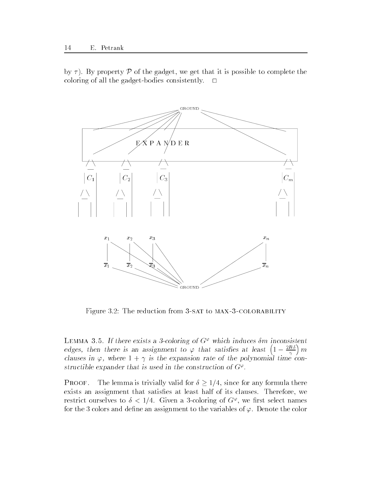by  $\tau$ ). By property P of the gadget, we get that it is possible to complete the coloring of all the gadget-bodies consistently



Figure 3.2: The reduction from 3-SAT to MAX-3-COLORABILITY

LEMMA 5.5. If there exists a 5-coloring of  $G^+$  which induces om inconsistent edges, then there is an assignment to  $\varphi$  that satisfies at least  $\left(1-\frac{2B\delta}{\gamma}\right)m$  $\alpha$  and  $\beta$ , where  $1 + i$  is the expansion rate of the polynomial time constructible expander that is used in the construction of  $\mathbf{G}^{\tau}$ .

**PROOF.** The lemma is trivially valid for  $\delta \geq 1/4$ , since for any formula there exists an assignment that satisfies at least half of its clauses. Therefore, we restrict ourselves to  $\delta < 1/4$ . Given a 3-coloring of G<sup>+</sup>, we first select names for the 3 colors and define an assignment to the variables of  $\varphi$ . Denote the color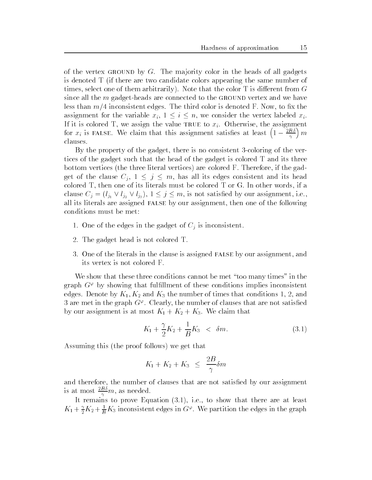of the vertex GROUND by  $G$ . The majority color in the heads of all gadgets is denoted T if there are two candidate colors appearing the same number of times, select one of them arbitrarily). Note that the color  $T$  is different from  $G$ since all the m gadget-heads are connected to the ground vertex and we have less than  $m/4$  inconsistent edges. The third color is denoted F. Now, to fix the assignment for the variable  $x_i$ ,  $1 \leq i \leq n$ , we consider the vertex labeled  $x_i$ . If it is colored T, we assign the value TRUE to  $x_i$ . Otherwise, the assignment for  $x_i$  is FALSE. We claim that this assignment satisfies at least  $\left(1-\frac{2B\delta}{\gamma}\right)m$ clauses

By the property of the gadget there is no consistent -coloring of the vertices of the gadget such that the head of the gadget is colored T and its three bottom vertices (the three literal vertices) are colored  $F$ . Therefore, if the gadget of the clause  $C_j$ ,  $1 \leq j \leq m$ , has all its edges consistent and its head colored  $T$ , then one of its literals must be colored  $T$  or  $G$ . In other words, if a clause  $C_j = (l_{j_1} \vee l_{j_2} \vee l_{j_3}), 1 \leq j \leq m$ , is not satisfied by our assignment, i.e., all its literals are assigned FALSE by our assignment, then one of the following conditions must be met

- 1. One of the edges in the gadget of  $C_j$  is inconsistent.
- 2. The gadget head is not colored T.
- One of the literals in the clause is assigned false by our assignment and its vertex is not colored F

We show that these three conditions cannot be met "too many times" in the graph G- by showing that fulllment of these conditions implies inconsistent edges. Denote by  $K_1, K_2$  and  $K_3$  the number of times that conditions 1, 2, and a are met in the graph G+. Ulearly, the number of clauses that are not satisfied  $\mathcal{L}_{\mathcal{A}}$  is at most  $\mathcal{A}$  assignment is at  $\mathcal{A}$  and  $\mathcal{A}$  . The contraction that is a contracted for any  $\mathcal{A}$ 

$$
K_1 + \frac{\gamma}{2}K_2 + \frac{1}{B}K_3 \ < \ \delta m. \tag{3.1}
$$

Assuming this (the proof follows) we get that

$$
K_1 + K_2 + K_3 \leq \frac{2B}{\gamma} \delta m
$$

and therefore, the number of clauses that are not satisfied by our assignment is at most  $\frac{1}{\gamma}m$ , as needed.

It remains to prove Equation  $(3.1)$ , i.e., to show that there are at least  $K_1 + \frac{1}{2}K_2 + \frac{1}{B}K_3$  inconsistent edges in  $G^*$ . We partition the edges in the graph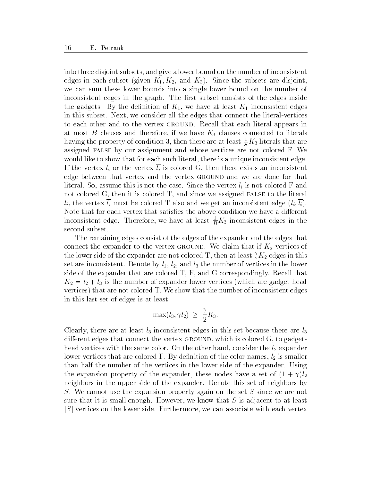into three disjoint subsets and give a lower bound on the number of inconsistent edges in each subset (given  $K_1, K_2$ , and  $K_3$ ). Since the subsets are disjoint, we can sum these lower bounds into a single lower bound on the number of inconsistent edges in the graph. The first subset consists of the edges inside the gadgets. By the definition of  $K_1$ , we have at least  $K_1$  inconsistent edges in this subset Next we consider all the edges that connect the literal-vertices to each other and to the vertex GROUND. Recall that each literal appears in at most B clauses and therefore, if we have  $K_3$  clauses connected to literals having the property of condition 3, then there are at least  $\frac{1}{B}K_3$  literals that are assigned FALSE by our assignment and whose vertices are not colored F. We would like to show that for each such literal, there is a unique inconsistent edge. If the vertex  $l_i$  or the vertex  $l_i$  is colored G, then there exists an inconsistent edge between that vertex and the vertex ground and we are done for that literal. So, assume this is not the case. Since the vertex  $l_i$  is not colored F and not colored G, then it is colored T, and since we assigned FALSE to the literal  $l_i$ , the vertex  $l_i$  must be colored T also and we get an inconsistent edge  $(l_i, l_i)$ . Note that for each vertex that satisfies the above condition we have a different inconsistent edge. Therefore, we have at least  $\frac{1}{B}K_3$  inconsistent edges in the second subset

The remaining edges consist of the edges of the expander and the edges that connect the expander to the vertex GROUND. We claim that if  $K_2$  vertices of the lower side of the expander are not colored 1, then at least  $\frac{1}{2}K_2$  edges in this set are inconsistent. Denote by  $l_1$ ,  $l_2$ , and  $l_3$  the number of vertices in the lower side of the expander that are colored  $T$ ,  $F$ , and  $G$  correspondingly. Recall that k is the number of expanding the number of expanding the number of expanding the state of expanding the state o vertices) that are not colored T. We show that the number of inconsistent edges in this last set of edges is at least

$$
\max(l_3, \gamma l_2) \ge \frac{\gamma}{2} K_3.
$$

Clearly, there are at least  $l_3$  inconsistent edges in this set because there are  $l_3$ different edges that connect the vertex GROUND, which is colored  $G$ , to gadgethead vertices with the same color. On the other hand, consider the  $l_2$  expander lower vertices that are colored F. By definition of the color names,  $l_2$  is smaller than half the number of the vertices in the lower side of the expander. Using the expressed property of the expansion the expander of the set of the set of  $\mathcal{A}=\{1, 1\}$ neighbors in the upper side of the expander. Denote this set of neighbors by S. We cannot use the expansion property again on the set S since we are not sure that it is small enough. However, we know that  $S$  is adjacent to at least  $|S|$  vertices on the lower side. Furthermore, we can associate with each vertex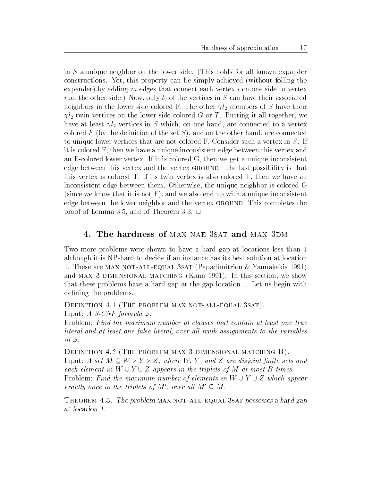in  $S$  a unique neighbor on the lower side. (This holds for all known expander constructions. Yet, this property can be simply achieved (without foiling the expander) by adding m edges that connect each vertex i on one side to vertex i on the other side.) Now, only  $l_2$  of the vertices in S can have their associated neighbors in the lower side colored F The other I there  $\mu_{\mu}$  members of S have the colored  $\mu$  l twin vertices on the lower side colored <sup>G</sup> orT Putting it all together we have at least l vertices in <sup>S</sup> which on one hand are connected to a vertex colored F (by the definition of the set S), and on the other hand, are connected to unique lower vertices that are not colored F. Consider such a vertex in  $S$ . If it is colored F, then we have a unique inconsistent edge between this vertex and and f-colored lower vertex is the colored at unique  $\pi$  . We also also the unit inconsistent edge between this vertex and the vertex GROUND. The last possibility is that this vertex is colored  $T$ . If its twin vertex is also colored  $T$ , then we have an inconsistent edge between them. Otherwise, the unique neighbor is colored G (since we know that it is not  $F$ ), and we also end up with a unique inconsistent edge between the lower neighbor and the vertex GROUND. This completes the proof of Lemma 3.5, and of Theorem 3.3.  $\Box$ 

# 4. The hardness of MAX NAE 3SAT and MAX 3DM

Two more problems were shown to have a hard gap at locations less than 1 although it is the though if an instance has instanced the solution at location at location at location at loca 1. These are MAX NOT-ALL-EQUAL 3SAT (Papadimitriou  $\&$  Yannakakis 1991) and MAX 3-DIMENSIONAL MATCHING (Kann 1991). In this section, we show that these problems have a hard gap at the gap location 1. Let us begin with defining the problems.

<u>saturition and parts in maximal satural satural satural satural satural satural satural satural satural satura</u> Input: A 3-CNF formula  $\varphi$ .

Problem: Find the maximum number of clauses that contain at least one true literal and at least one false literal- over al l truth assignments to the variables of  $\varphi$ .

Definition -The problem max dimensional matchingB Input: A set  $M \subseteq W \times Y \times Z$ , where W, Y, and Z are disjoint finite sets and each element in  $W \cup Y \cup Z$  appears in the triplets of M at most B times. Problem: Find the maximum number of elements in  $W \cup Y \cup Z$  which appear exactly once in the triplets of M', over all  $M' \subseteq M$ .

THEOREM  $4.3$ . The problem MAX NOT-ALL-EQUAL 3SAT possesses a hard gap at location 1.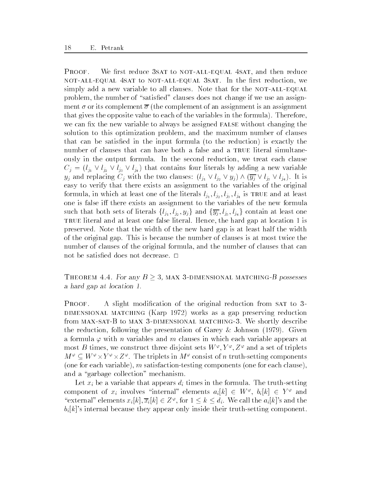PROOF. We first reduce 3SAT to NOT-ALL-EQUAL 4SAT, and then reduce not-all-equal 4sat to not-all-equal 3sat. In the first reduction, we simply add a new variable to all clauses. Note that for the NOT-ALL-EQUAL problem, the number of "satisfied" clauses does not change if we use an assignment  $\sigma$  or its complement  $\overline{\sigma}$  (the complement of an assignment is an assignment that gives the opposite value to each of the variables in the formula). Therefore, we can fix the new variable to always be assigned FALSE without changing the solution to this optimization problem, and the maximum number of clauses that can be satisfied in the input formula (to the reduction) is exactly the number of clauses that can have both a false and a TRUE literal simultaneously in the output formula. In the second reduction, we treat each clause  $C_j = (l_{j_1} \vee l_{j_2} \vee l_{j_3} \vee l_{j_4})$  that contains four literals by adding a new variable  $y_j$  and replacing  $C_j$  with the two clauses:  $(l_{j_1} \vee l_{j_2} \vee y_j) \wedge (\overline{y_j} \vee l_{j_3} \vee l_{j_4})$ . It is easy to verify that there exists an assignment to the variables of the original formula in which at least one of the literature and at least one of the literature and at least one of the literature and at least one of the literature and at least  $I$ one is false iff there exists an assignment to the variables of the new formula such that both sets of literals  $\{l_{j_1}, l_{j_2}, y_j\}$  and  $\{\overline{y_j}, l_{j_3}, l_{j_4}\}$  contain at least one TRUE literal and at least one false literal. Hence, the hard gap at location 1 is preserved Note that the width of the new hard gap is at least half the width of the original gap This is because the number of clauses is at most twice the number of clauses of the original formula, and the number of clauses that can not be satisfied does not decrease.  $\square$ 

THEOREM 4.4. For any  $B \geq 3$ , MAX 3-DIMENSIONAL MATCHING-B possesses a hard gap at location 1.

PROOF. A slight modification of the original reduction from SAT to 3-DIMENSIONAL MATCHING (Karp 1972) works as a gap preserving reduction from maxsat-B to max dimensional matching We shortly describe the reduction, following the presentation of Garey & Johnson  $(1979)$ . Given a formula  $\varphi$  with *n* variables and *m* clauses in which each variable appears at most  $B$  times, we construct three disjoint sets  $W^r$ ,  $Y^r$ ,  $Z^r$  and a set of triplets  $M^{\varphi} \subseteq W^{\varphi} \times Y^{\varphi} \times Z^{\varphi}$ . The triplets in  $M^{\varphi}$  consist of n truth-setting components testing components in satisfaction-testing components on the satisfaction-testing one for  $\mathcal{L}_1$ and a "garbage collection" mechanism.

Let xi be a variable that appears di times in the formula The truth-setting component of  $x_i$  involves "internal" elements  $a_i|k| \in W^{\varphi}$ ,  $b_i|k| \in Y^{\varphi}$  and "external" elements  $x_i|k|, \overline{x_i}|k| \in Z^{\varphi}$ , for  $1 \leq k \leq d_i$ . We call the  $a_i|k|$ 's and the bit internal because they appear only inside the setting component on  $\mathcal{L}$  instantant component on  $\mathcal{L}$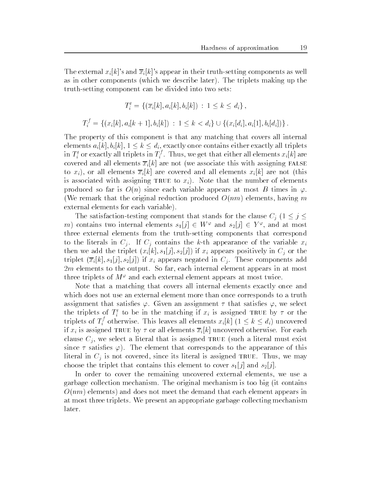setting and xi ke and xi kin their truth-setting components as well as well as well as well as well as well as as in other components (which we describe later). The triplets making up the truth-setting component can be divided into two sets

$$
T_i^t = \{ (\overline{x}_i[k], a_i[k], b_i[k]) : 1 \le k \le d_i \},
$$
  

$$
T_i^f = \{ (x_i[k], a_i[k+1], b_i[k]) : 1 \le k < d_i \} \cup \{ (x_i[d_i], a_i[1], b_i[d_i]) \}.
$$

The property of this component is that any matching that covers all internal elements  $a_i[k], b_i[k], 1 \leq k \leq d_i$ , exactly once contains either exactly all triplets in  $I_i^*$  or exactly all triplets in  $I_i^*$  . Thus, we get that either all elements  $x_i[k]$  are covered and all elements  $\overline{x}_i[k]$  are not (we associate this with assigning FALSE to  $x_i$ ), or all elements  $\overline{x}_i[k]$  are covered and all elements  $x_i[k]$  are not (this is associated with assigning TRUE to  $x_i$ ). Note that the number of elements produced so far is  $O(n)$  since each variable appears at most B times in  $\varphi$ . (We remark that the original reduction produced  $O(nm)$  elements, having m external elements for each variable

The satisfaction-testing component that stands for the clause  $C_i$   $(1 \leq j \leq j)$ m contains two internal elements  $s_1[j] \in W^{\varphi}$  and  $s_2[j] \in Y^{\varphi}$ , and at most three external elements from the truth-setting components that correspond to the literature in Cj. If Cj contains the strike of the simulation of the strike  $\mathbf{u}_k$ then we add the triplet  $(x_i[k], s_i[j], s_i[j])$  if  $x_i$  appears positively in  $C_j$  or the triplet  $(\overline{x}_i[k], s_1[j], s_2[j])$  if  $x_i$  appears negated in  $C_i$ . These components add  $2m$  elements to the output. So far, each internal element appears in at most three triplets of  $M^+$  and each external element appears at most twice.

Note that a matching that covers all internal elements exactly once and which does not use an external element more than once corresponds to a truth assignment that satisfies  $\varphi$ . Given an assignment  $\tau$  that satisfies  $\varphi$ , we select the triplets of  $I_i$  to be in the matching if  $x_i$  is assigned true by  $\tau$  or the triplets of  $T_i^j$  otherwise. This leaves all elements  $x_i[k]$   $(1 \leq k \leq d_i)$  uncovered if  $x_i$  is assigned TRUE by  $\tau$  or all elements  $\overline{x}_i[k]$  uncovered otherwise. For each clause  $C_i$ , we select a literal that is assigned TRUE (such a literal must exist since  $\tau$  satisfies  $\varphi$ ). The element that corresponds to the appearance of this literal in  $C_j$  is not covered, since its literal is assigned TRUE. Thus, we may choose the triplet that contains this element to cover  $s_1[j]$  and  $s_2[j]$ .

In order to cover the remaining uncovered external elements, we use a garbage collection mechanism. The original mechanism is too big (it contains  $O(nm)$  elements) and does not meet the demand that each element appears in at most three triplets. We present an appropriate garbage collecting mechanism later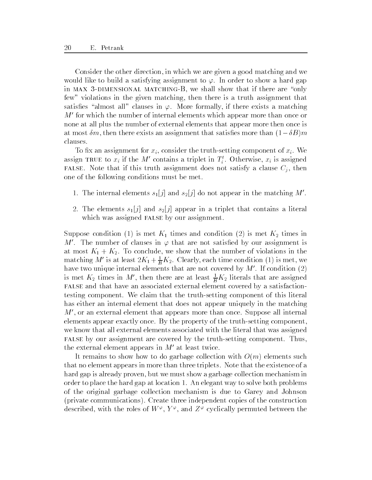Consider the other direction in which we are given a good matching and we would like to build a satisfying assignment to  $\varphi$ . In order to show a hard gap in max dimensional matching-we shall show that if there are show that if there are are  $\mathbb{I}$ few" violations in the given matching, then there is a truth assignment that satisfies "almost all" clauses in  $\varphi$ . More formally, if there exists a matching  $M'$  for which the number of internal elements which appear more than once or none at all plus the number of external elements that appear more then once is at most  $\delta m$ , then there exists an assignment that satisfies more than  $(1-\delta B)m$ clauses

to the setting construction of  $\mathcal{M}_1$  component for the truth-consider the truth-component of  $\mathcal{M}_2$  we consider assign true to  $x_i$  if the M contains a triplet in  $T_i$ . Otherwise,  $x_i$  is assigned FALSE. Note that if this truth assignment does not satisfy a clause  $C_j$ , then one of the following conditions must be met

- 1. The internal elements  $s_1[j]$  and  $s_2[j]$  do not appear in the matching M'.
- 2. The elements  $s_1[j]$  and  $s_2[j]$  appear in a triplet that contains a literal which was assigned FALSE by our assignment.

Suppose condition (1) is met  $K_1$  times and condition (2) is met  $K_2$  times in M'. The number of clauses in  $\varphi$  that are not satisfied by our assignment is at most K To conclude we show that the number of violations in the number of violations in the number of viola matching M is at least  $2\Lambda_1 + \frac{1}{B}\Lambda_2$ . Clearly, each time condition (1) is met, we have two unique internal elements that are not covered by  $M'$ . If condition  $(2)$ is met  $K_2$  times in M<sup>-</sup>, then there are at least  $\frac{1}{B}K_2$  literals that are assigned false and that have an associated external element covered by a satisfactiontesting component We claim that the truth-setting component of this literal has either an internal element that does not appear uniquely in the matching  $M'$ , or an external element that appears more than once. Suppose all internal elements appear exactly once By the property of the truth-setting component we know that all external elements associated with the literal that was assigned false by our assignment are covered by the truth-setting component Thus the external element appears in  $M'$  at least twice.

It remains to show how to do garbage collection with  $O(m)$  elements such that no element appears in more than three triplets. Note that the existence of a hard gap is already proven, but we must show a garbage collection mechanism in order to place the hard gap at location 1. An elegant way to solve both problems of the original garbage collection mechanism is due to Garey and Johnson private communications Create three independent copies of the construction described, with the roles of  $W^+, T^+,$  and  $Z^+$  cyclically permuted between the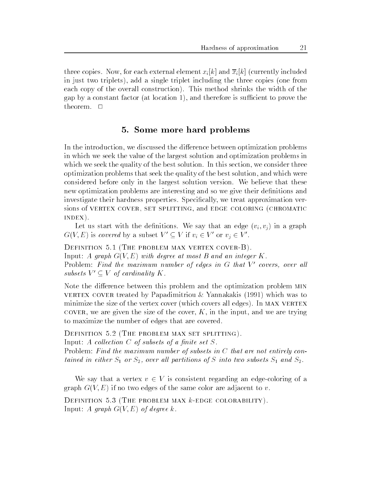three copies. Now, for each external element  $x_i[k]$  and  $\overline{x}_i[k]$  (currently included in just two triplets), add a single triplet including the three copies (one from each copy of the overall construction). This method shrinks the width of the gap by a constant factor (at location 1), and therefore is sufficient to prove the theorem

### Some more hard problems

In the introduction, we discussed the difference between optimization problems in which we seek the value of the largest solution and optimization problems in which we seek the quality of the best solution. In this section, we consider three optimization problems that seek the quality of the best solution and which were considered before only in the largest solution version We believe that these new optimization problems are interesting and so we give their definitions and investigate their hardness properties. Specifically, we treat approximation versions of vertex cover set splitting and edge coloring -chromatic  $INDEX$ ).

Let us start with the definitions. We say that an edge  $(v_i, v_j)$  in a graph  $G(V, E)$  is covered by a subset  $V' \subseteq V$  if  $v_i \in V'$  or  $v_j \in V'$ .

 $\mathbf{I}$ Input: A graph  $G(V, E)$  with degree at most B and an integer K. Problem: Fina the maximum number of eages in G that V covers, over all subsets  $V' \subseteq V$  of cardinality K.

Note the difference between this problem and the optimization problem MIN vertex cover treated by Papadimitriou  $\&$  Yannakakis (1991) which was to minimize the size of the vertex cover (which covers all edges). In MAX VERTEX cover, we are given the size of the cover,  $K$ , in the input, and we are trying to maximize the number of edges that are covered

Definition -The problem max set splitting

Input: A collection  $C$  of subsets of a finite set  $S$ .

Problem: Find the maximum number of subsets in  $C$  that are not entirely contained in either S or S- over al l partitions of <sup>S</sup> into two subsets S and S

We say that a vertex  $v \in V$  is consistent regarding an edge-coloring of a graph  $G(V, E)$  if no two edges of the same color are adjacent to v.

Definition -The problem max kedge colorability Input: A graph  $G(V, E)$  of degree k.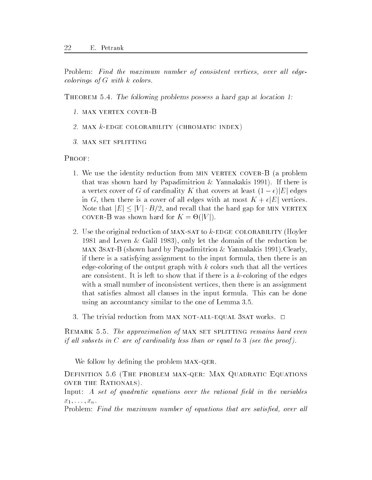Problem Find the maximum number of consistent vertices- over al l edge colorings of  $G$  with  $k$  colors.

THEOREM 5.4. The following problems possess a hard gap at location 1:

- 1. MAX VERTEX COVER-B
- st main to mb who collorability to movements indext,
- vi set set splitting

PROOF:

- 1. We use the identity reduction from MIN VERTEX COVER-B (a problem that was shown hard by Papadimitriou  $\&$  Yannakakis 1991). If there is a vertex cover of G of cardinality K that covers at least  $(1 - \epsilon)|E|$  edges in G, then there is a cover of all edges with at most  $K + \epsilon |E|$  vertices. Note that  $|E| \leq |V| \cdot B/2$ , and recall that the hard gap for MIN VERTEX COVER-B was shown hard for  $K = \Theta(|V|)$ .
- e the original reduction of maximal reduction of the colorability (the production of  $\mathcal{L}$ 1981 and Leven & Galil 1983), only let the domain of the reduction be max satisfied the papalite of the paper of the shown of the shown of the satisfied of the state  $\mu$ if there is a satisfying assignment to the input formula then there is an edge-coloring of the output graph with k colors such that all the vertices are consistent in left to show that if the edges is a k-index of the edge show that if the edges is a k-index of the edge show that if the edges is a k-index of the edge show that if the edges is a k-index of the edge sho with a small number of inconsistent vertices, then there is an assignment that satisfies almost all clauses in the input formula. This can be done using an accountancy similar to the one of Lemma
- 3. The trivial reduction from MAX NOT-ALL-EQUAL 3SAT works.  $\Box$

REMARK 5.5. The approximation of MAX SET SPLITTING remains hard even if all subsets in C are of cardinality less than or equal to  $3$  (see the proof).

We follow by defining the problem MAX-QER.

- The problem maximum maximum maximum equations and the problem of the problem of  $\mathbb{R}^n$ OVER THE RATIONALS).

Input: A set of quadratic equations over the rational field in the variables  $x_1,\ldots,x_n$ .

Problem Find the maximum number of equations that are satised- over al l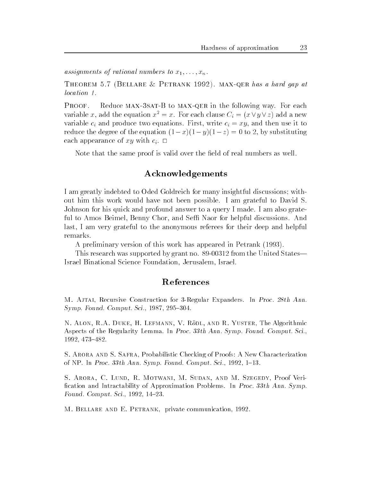assignments of rational numbers to  $x_1, \ldots, x_n$ .

Theorem -Bellare 
 Petrank maxqer has a hard gap at location 1.

Proof Reduce maxsat-B to maxqer in the following way For each variable x, add the equation  $x^2 = x$ . For each clause  $C_i = (x \vee y \vee z)$  add a new variable  $c_i$  and produce two equations. First, write  $c_i = xy$ , and then use it to reduce the degree of the equation  $(1-x)(1-y)(1-z) = 0$  to 2, by substituting each appearance of xy with  $c_i$ .  $\Box$ 

Note that the same proof is valid over the field of real numbers as well.

# Acknowledgements

I am greatly indebted to Oded Goldreich for many insightful discussions; without him this work would have not been possible I am grateful to David S Johnson for his quick and profound answer to a query I made. I am also grateful to Amos Beimel, Benny Chor, and Seffi Naor for helpful discussions. And last I am very grateful to the anonymous referees for their deep and helpful remarks

A preliminary version of this work has appeared in Petrank

This research was supported by grant no  $\mathbb{F}$  . This results the United States  $\mathbb{F}$ Israel Binational Science Foundation, Jerusalem, Israel.

### References

and the construction of the construction of the process in Process In Process In Process In Process In Process symphony same computer that the state of the state of the state of the state of the state of the state of the s

N Alon RA Duke H Lefmann V Rodl and R Yuster- The Algorithmic Aspects of the Regularity Lemma. In Proc. 33th Ann. Symp. Found. Comput. Sci., - 

S Arora and S Safra- Probabilistic Checking of Proofs A New Characterization of NP In Processes and Ann Symphony Found Computer Sci- The Computer Science Sci- The Computer Science Sci- Th

s around a round and mean county was a constant when measured and a round case. fication and Intractability of Approximation Problems. In Proc. 33th Ann. Symp. Found Computer Science and Computer Science and Computer Science and Computer Science and Computer Science and

M Bellare and E Petrank- private communication-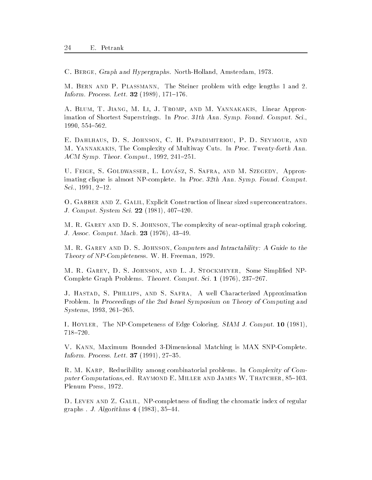C Berge- Graph and Hypergraphs NorthHolland- Amsterdam- 

M Bern and P Plassmann- The Steiner problem with edge lengths and Information extends the extension of the extension of the extension of the extension of the extension of the extension of the extension of the extension of the extension of the extension of the extension of the extension o

a blum T Jiang M Linear Approximation and M Jiang M Theodores and M Yannaham The M Yangi M Yannakakis - Andrew imation of Shortest Superstrings. In Proc. 31th Ann. Symp. Found. Comput. Sci., the contract of the contract of the contract of the contract of the contract of the contract of the contract o

E. DAHLHAUS, D. S. JOHNSON, C. H. PAPADIMITRIOU, P. D. SEYMOUR, AND and almost the Completing of Multiplexity of Multiplexity of Multiplexity and the Multiplexity of Multiplexity Account to the computation of the computation of the computation of the computation of the computation of the computation of the computation of the computation of the computation of the computation of the computation of th

U. Feige, D. Goldwing of Hothol, S. Shinn, M.D. M. Seeded , Tippion imating clique is almost NP-complete. In Proc.  $32th$  Ann. Symp. Found. Comput. Sci- -

o construction and Z Galilean sized superconcentrators in the size superconcentrators of  $\sim$  $\blacksquare$  ) and the system system system system system system system system system system system system system system system system system system system system system system system system system system system system system s

M R Garey and D S Johnson- The complexity of nearoptimal graph coloring J Assoc Comput Mach - -  

and the present form of the S S and S S I Computers and Interactionally a Guide to the United Theory of NPCompleteness W H Freeman- 

M R Garey D S Johnson and L J Stockmeyer- Some Simplied NP Complete Graph Problems Theoret Computer Computer Theoret Computer Science

, and start is a mean of the start characterized and started approximation is  $\mathcal{S}$ Problem. In Proceedings of the 2nd Israel Symposium on Theory of Computing and Systems- -

i i the the March Coloring Side Coloring Side Coloring Side Coloring Side Coloring Side Coloring Side Coloring  $718 - 720.$ 

V Kann- Maximum Bounded Dimensional Matching is MAX SNPComplete Information  $\mathbf{I}$  . The process Lett -  $\mathbf{I}$  -  $\mathbf{I}$  -  $\mathbf{I}$  -  $\mathbf{I}$  -  $\mathbf{I}$  -  $\mathbf{I}$  -  $\mathbf{I}$  -  $\mathbf{I}$  -  $\mathbf{I}$  -  $\mathbf{I}$  -  $\mathbf{I}$  -  $\mathbf{I}$  -  $\mathbf{I}$  -  $\mathbf{I}$  -  $\mathbf{I}$  -  $\mathbf{I}$  -  $\math$ 

R M Karp- Reducibility among combinatorial problems In Complexity of Com puter Computations- ed Raymond E Miller and James W Thatcher- 
 Plenum Press- 

D Leven and Z Galil- NPcompletness of nding the chromatic index of regular  $\mathcal{L}$  , and a set of the set of the set of the set of the set of the set of the set of the set of the set of the set of the set of the set of the set of the set of the set of the set of the set of the set of the set of